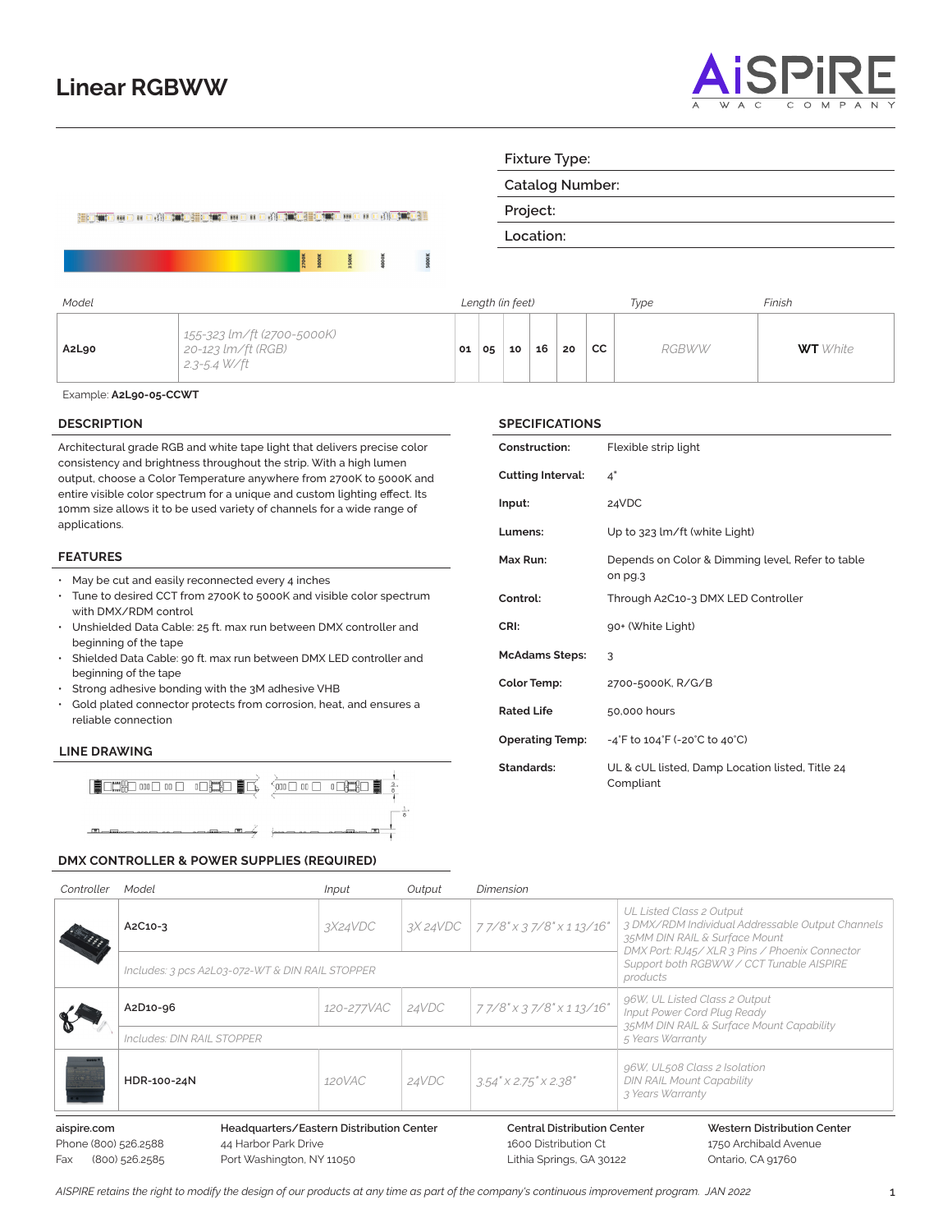## **Linear RGBWW**



|       |                                                                  |    |    |                  |           |    | <b>Catalog Number:</b> |              |                 |
|-------|------------------------------------------------------------------|----|----|------------------|-----------|----|------------------------|--------------|-----------------|
|       | EDATO 400 + 0 ADAO EOATO 400 + 0 ADAO EOATO 400 + 0 ADAO EO      |    |    |                  | Project:  |    |                        |              |                 |
|       |                                                                  |    |    |                  | Location: |    |                        |              |                 |
|       | <b>2700K</b><br>3000K<br><b>SOOK</b><br>$\overline{8}$           |    |    |                  |           |    |                        |              |                 |
| Model |                                                                  |    |    | Length (in feet) |           |    |                        | Type         | Finish          |
| A2L90 | 155-323 lm/ft (2700-5000K)<br>20-123 lm/ft (RGB)<br>2.3-5.4 W/ft | 01 | 05 | 10               | 16        | 20 | <b>CC</b>              | <b>RGBWW</b> | <b>WT</b> White |

**Fixture Type:**

**SPECIFICATIONS**

**Cutting Interval:** 4" **Input:** 24VDC

**McAdams Steps:** 3

**Construction:** Flexible strip light

**CRI:** 90+ (White Light)

**Color Temp:** 2700-5000K, R/G/B

**Operating Temp:** -4°F to 104°F (-20°C to 40°C)

Compliant

**Rated Life** 50,000 hours

Lumens: Up to 323 lm/ft (white Light)

on pg.3

**Control:** Through A2C10-3 DMX LED Controller

**Max Run:** Depends on Color & Dimming level, Refer to table

**Standards:** UL & cUL listed, Damp Location listed, Title 24

Example: **A2L90-05-CCWT**

#### **DESCRIPTION**

Architectural grade RGB and white tape light that delivers precise color consistency and brightness throughout the strip. With a high lumen output, choose a Color Temperature anywhere from 2700K to 5000K and entire visible color spectrum for a unique and custom lighting effect. Its 10mm size allows it to be used variety of channels for a wide range of applications.

#### **FEATURES**

- May be cut and easily reconnected every 4 inches
- Tune to desired CCT from 2700K to 5000K and visible color spectrum with DMX/RDM control
- Unshielded Data Cable: 25 ft. max run between DMX controller and beginning of the tape
- Shielded Data Cable: 90 ft. max run between DMX LED controller and beginning of the tape
- Strong adhesive bonding with the 3M adhesive VHB
- Gold plated connector protects from corrosion, heat, and ensures a reliable connection

#### **LINE DRAWING**

Fax



#### **DMX CONTROLLER & POWER SUPPLIES (REQUIRED)**

| Controller                          | Model                                                            | <i>Input</i>                                                 | Output                               | <b>Dimension</b>                                                                     |                                                                                                               |  |  |  |
|-------------------------------------|------------------------------------------------------------------|--------------------------------------------------------------|--------------------------------------|--------------------------------------------------------------------------------------|---------------------------------------------------------------------------------------------------------------|--|--|--|
|                                     | A2C10-3                                                          | 3X24VDC                                                      |                                      | $3X24VDC$   77/8" x 37/8" x 113/16"                                                  | UL Listed Class 2 Output<br>3 DMX/RDM Individual Addressable Output Channels<br>35MM DIN RAIL & Surface Mount |  |  |  |
|                                     | Includes: 3 pcs A2L03-072-WT & DIN RAIL STOPPER                  |                                                              |                                      |                                                                                      | DMX Port: RJ45/XLR 3 Pins / Phoenix Connector<br>Support both RGBWW / CCT Tunable AISPIRE<br>products         |  |  |  |
|                                     | A2D10-96                                                         | 120-277VAC                                                   | 24VDC                                | 77/8" x 37/8" x 113/16"                                                              | 96W, UL Listed Class 2 Output<br>Input Power Cord Plug Ready                                                  |  |  |  |
|                                     | Includes: DIN RAIL STOPPER                                       | 35MM DIN RAIL & Surface Mount Capability<br>5 Years Warranty |                                      |                                                                                      |                                                                                                               |  |  |  |
| CCFZ                                | HDR-100-24N                                                      | 120VAC<br>24VDC                                              | $3.54'' \times 2.75'' \times 2.38''$ | 96W, UL508 Class 2 Isolation<br><b>DIN RAIL Mount Capability</b><br>3 Years Warranty |                                                                                                               |  |  |  |
| aispire.com<br>Phone (800) 526.2588 | Headquarters/Eastern Distribution Center<br>44 Harbor Park Drive |                                                              |                                      | <b>Central Distribution Center</b><br>1600 Distribution Ct                           | Western Distribution Center<br>1750 Archibald Avenue                                                          |  |  |  |

| 800) 526.2588 | 44 Harbor Pa |
|---------------|--------------|
| 800) 526.2585 | Port Washing |

**the Drive** gton, NY 11050

1600 Distribution Ct Lithia Springs, GA 30122 1750 Archibald Avenue Ontario, CA 91760

*AISPIRE retains the right to modify the design of our products at any time as part of the company's continuous improvement program. JAN 2022* 1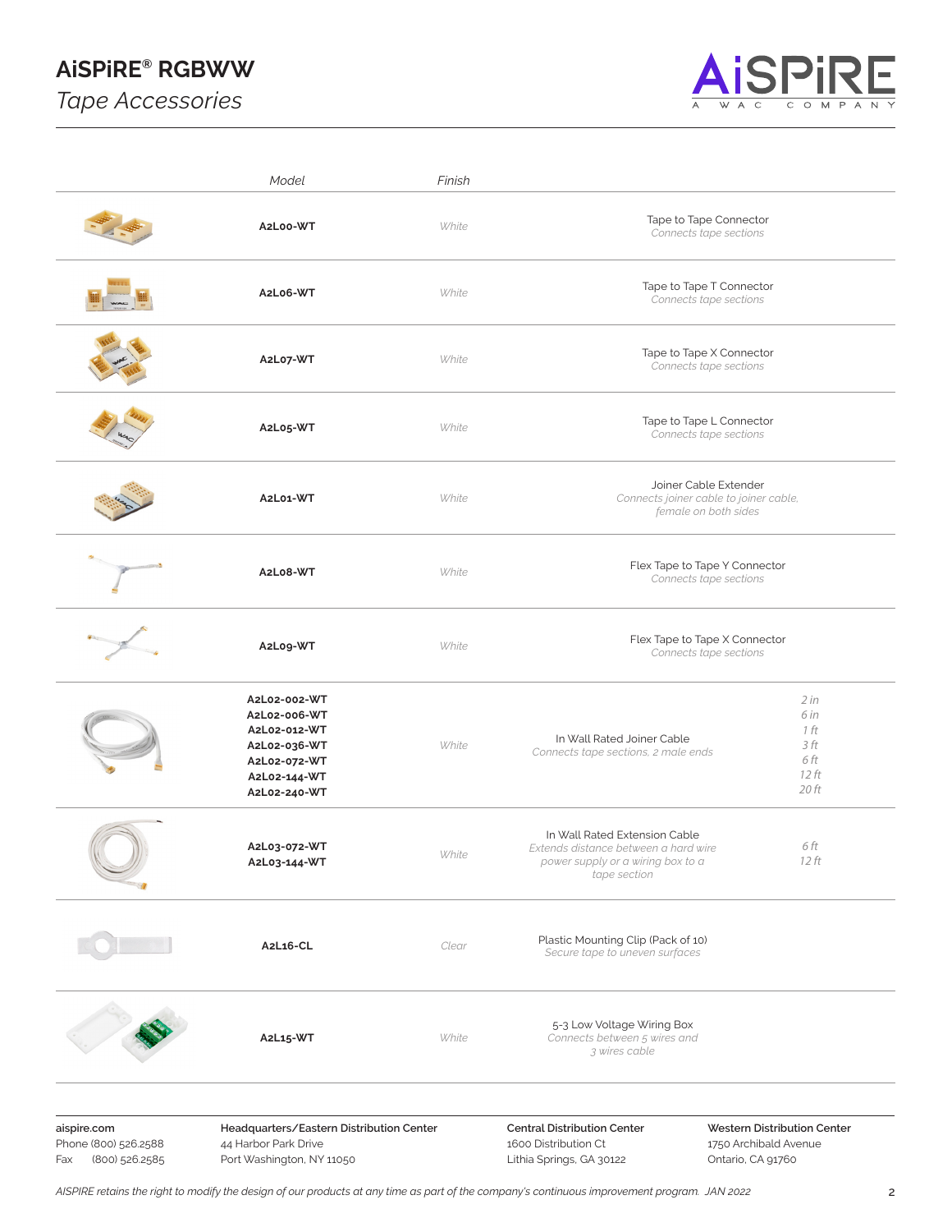# **AiSPiRE® RGBWW**

*Tape Accessories*



|                                                              | Model                                                                                                        | Finish |                                                                                                                            |                                                                                         |  |  |  |  |
|--------------------------------------------------------------|--------------------------------------------------------------------------------------------------------------|--------|----------------------------------------------------------------------------------------------------------------------------|-----------------------------------------------------------------------------------------|--|--|--|--|
|                                                              | A2L00-WT                                                                                                     | White  | Tape to Tape Connector<br>Connects tape sections                                                                           |                                                                                         |  |  |  |  |
|                                                              | A2L06-WT                                                                                                     | White  | Tape to Tape T Connector<br>Connects tape sections                                                                         |                                                                                         |  |  |  |  |
|                                                              | A2L07-WT                                                                                                     | White  |                                                                                                                            | Tape to Tape X Connector<br>Connects tape sections                                      |  |  |  |  |
|                                                              | A2L05-WT                                                                                                     | White  | Tape to Tape L Connector<br>Connects tape sections                                                                         |                                                                                         |  |  |  |  |
|                                                              | A2L01-WT                                                                                                     | White  |                                                                                                                            | Joiner Cable Extender<br>Connects joiner cable to joiner cable,<br>female on both sides |  |  |  |  |
|                                                              | A2L08-WT                                                                                                     | White  |                                                                                                                            | Flex Tape to Tape Y Connector<br>Connects tape sections                                 |  |  |  |  |
|                                                              | A2L09-WT                                                                                                     | White  | Flex Tape to Tape X Connector<br>Connects tape sections                                                                    |                                                                                         |  |  |  |  |
|                                                              | A2L02-002-WT<br>A2L02-006-WT<br>A2L02-012-WT<br>A2L02-036-WT<br>A2L02-072-WT<br>A2L02-144-WT<br>A2L02-240-WT |        | In Wall Rated Joiner Cable<br>White<br>Connects tape sections, 2 male ends                                                 |                                                                                         |  |  |  |  |
|                                                              | A2L03-072-WT<br>A2L03-144-WT                                                                                 | White  | In Wall Rated Extension Cable<br>Extends distance between a hard wire<br>power supply or a wiring box to a<br>tape section | 6 ft<br>12 ft                                                                           |  |  |  |  |
|                                                              | A2L16-CL                                                                                                     | Clear  | Plastic Mounting Clip (Pack of 10)<br>Secure tape to uneven surfaces                                                       |                                                                                         |  |  |  |  |
|                                                              | A2L15-WT                                                                                                     | White  | 5-3 Low Voltage Wiring Box<br>Connects between 5 wires and<br>3 wires cable                                                |                                                                                         |  |  |  |  |
| aispire.com<br>Phone (800) 526.2588<br>(800) 526.2585<br>Fax | Headquarters/Eastern Distribution Center<br>44 Harbor Park Drive<br>Port Washington, NY 11050                |        | <b>Central Distribution Center</b><br>1600 Distribution Ct<br>Lithia Springs, GA 30122                                     | Western Distribution Center<br>1750 Archibald Avenue<br>Ontario, CA 91760               |  |  |  |  |

*AISPIRE retains the right to modify the design of our products at any time as part of the company's continuous improvement program. JAN 2022* 2